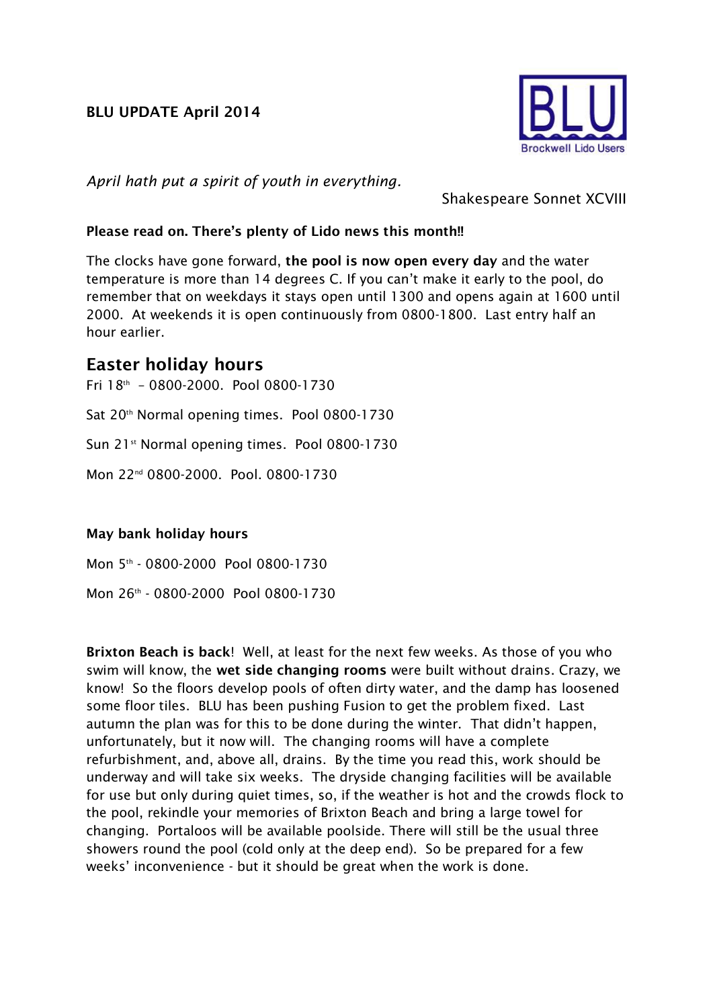## **BLU UPDATE April 2014**



*April hath put a spirit of youth in everything.*

Shakespeare Sonnet XCVIII

## **Please read on. There's plenty of Lido news this month!!**

The clocks have gone forward, **the pool is now open every day** and the water temperature is more than 14 degrees C. If you can't make it early to the pool, do remember that on weekdays it stays open until 1300 and opens again at 1600 until 2000. At weekends it is open continuously from 0800-1800. Last entry half an hour earlier.

## **Easter holiday hours**

Fri 18th – 0800-2000. Pool 0800-1730 Sat 20<sup>th</sup> Normal opening times. Pool 0800-1730 Sun 21<sup>st</sup> Normal opening times. Pool 0800-1730 Mon 22nd 0800-2000. Pool. 0800-1730

## **May bank holiday hours**

Mon 5 th - 0800-2000 Pool 0800-1730 Mon 26th - 0800-2000 Pool 0800-1730

**Brixton Beach is back**! Well, at least for the next few weeks. As those of you who swim will know, the **wet side changing rooms** were built without drains. Crazy, we know! So the floors develop pools of often dirty water, and the damp has loosened some floor tiles. BLU has been pushing Fusion to get the problem fixed. Last autumn the plan was for this to be done during the winter. That didn't happen, unfortunately, but it now will. The changing rooms will have a complete refurbishment, and, above all, drains. By the time you read this, work should be underway and will take six weeks. The dryside changing facilities will be available for use but only during quiet times, so, if the weather is hot and the crowds flock to the pool, rekindle your memories of Brixton Beach and bring a large towel for changing. Portaloos will be available poolside. There will still be the usual three showers round the pool (cold only at the deep end). So be prepared for a few weeks' inconvenience - but it should be great when the work is done.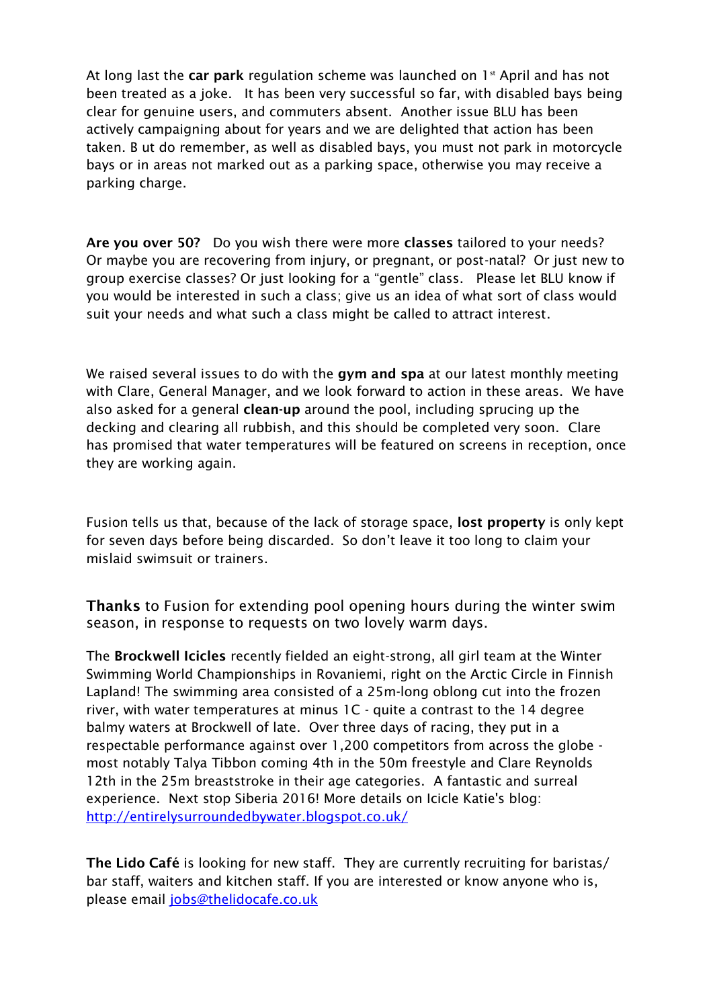At long last the **car park** regulation scheme was launched on 1st April and has not been treated as a joke. It has been very successful so far, with disabled bays being clear for genuine users, and commuters absent. Another issue BLU has been actively campaigning about for years and we are delighted that action has been taken. B ut do remember, as well as disabled bays, you must not park in motorcycle bays or in areas not marked out as a parking space, otherwise you may receive a parking charge.

**Are you over 50?** Do you wish there were more **classes** tailored to your needs? Or maybe you are recovering from injury, or pregnant, or post-natal? Or just new to group exercise classes? Or just looking for a "gentle" class. Please let BLU know if you would be interested in such a class; give us an idea of what sort of class would suit your needs and what such a class might be called to attract interest.

We raised several issues to do with the **gym and spa** at our latest monthly meeting with Clare, General Manager, and we look forward to action in these areas. We have also asked for a general **clean-up** around the pool, including sprucing up the decking and clearing all rubbish, and this should be completed very soon. Clare has promised that water temperatures will be featured on screens in reception, once they are working again.

Fusion tells us that, because of the lack of storage space, **lost property** is only kept for seven days before being discarded. So don't leave it too long to claim your mislaid swimsuit or trainers.

**Thanks** to Fusion for extending pool opening hours during the winter swim season, in response to requests on two lovely warm days.

The **Brockwell Icicles** recently fielded an eight-strong, all girl team at the Winter Swimming World Championships in Rovaniemi, right on the Arctic Circle in Finnish Lapland! The swimming area consisted of a 25m-long oblong cut into the frozen river, with water temperatures at minus 1C - quite a contrast to the 14 degree balmy waters at Brockwell of late. Over three days of racing, they put in a respectable performance against over 1,200 competitors from across the globe most notably Talya Tibbon coming 4th in the 50m freestyle and Clare Reynolds 12th in the 25m breaststroke in their age categories. A fantastic and surreal experience. Next stop Siberia 2016! More details on Icicle Katie's blog: <http://entirelysurroundedbywater.blogspot.co.uk/>

**The Lido Café** is looking for new staff. They are currently recruiting for baristas/ bar staff, waiters and kitchen staff. If you are interested or know anyone who is, please email [jobs@thelidocafe.co.uk](mailto:jobs@thelidocafe.co.uk)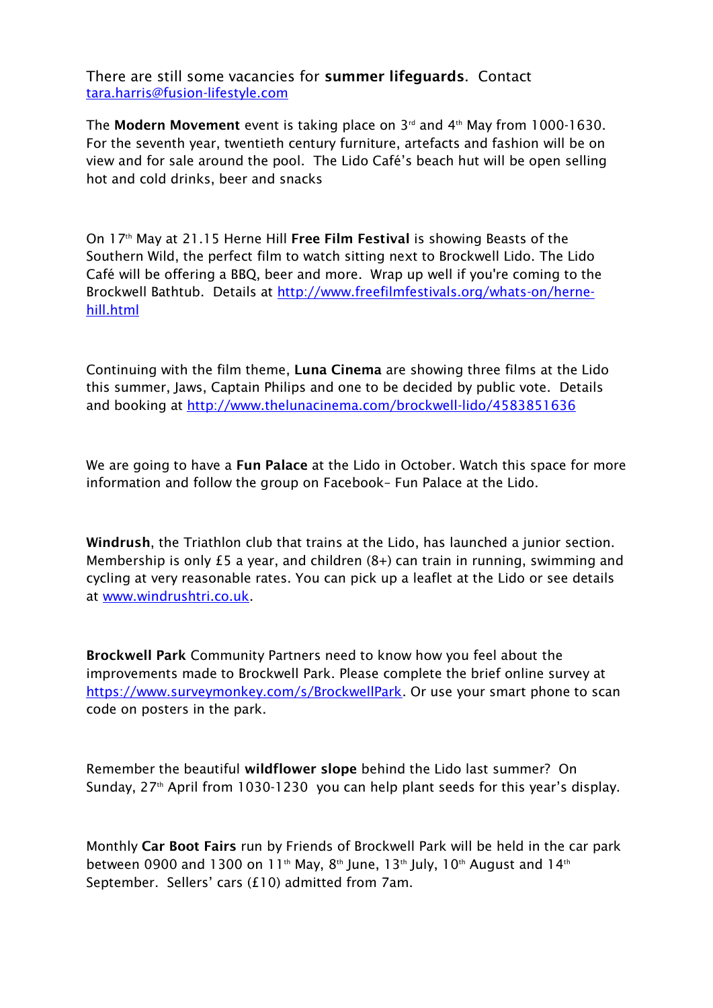There are still some vacancies for **summer lifeguards**. Contact [tara.harris@fusion-lifestyle.com](mailto:tara.harris@fusion-lifestyle.com)

The **Modern Movement** event is taking place on 3rd and 4th May from 1000-1630. For the seventh year, twentieth century furniture, artefacts and fashion will be on view and for sale around the pool. The Lido Café's beach hut will be open selling hot and cold drinks, beer and snacks

On 17th May at 21.15 Herne Hill **Free Film Festival** is showing Beasts of the Southern Wild, the perfect film to watch sitting next to Brockwell Lido. The Lido Café will be offering a BBQ, beer and more. Wrap up well if you're coming to the Brockwell Bathtub. Details at [http://www.freefilmfestivals.org/whats-on/herne](http://www.freefilmfestivals.org/whats-on/herne-hill.html)[hill.html](http://www.freefilmfestivals.org/whats-on/herne-hill.html)

Continuing with the film theme, **Luna Cinema** are showing three films at the Lido this summer, Jaws, Captain Philips and one to be decided by public vote. Details and booking at<http://www.thelunacinema.com/brockwell-lido/4583851636>

We are going to have a **Fun Palace** at the Lido in October. Watch this space for more information and follow the group on Facebook– Fun Palace at the Lido.

**Windrush**, the Triathlon club that trains at the Lido, has launched a junior section. Membership is only £5 a year, and children (8+) can train in running, swimming and cycling at very reasonable rates. You can pick up a leaflet at the Lido or see details at [www.windrushtri.co.uk.](http://www.windrushtri.co.uk/)

**Brockwell Park** Community Partners need to know how you feel about the improvements made to Brockwell Park. Please complete the brief online survey at [https://www.surveymonkey.com/s/BrockwellPark.](https://www.surveymonkey.com/s/BrockwellPark) Or use your smart phone to scan code on posters in the park.

Remember the beautiful **wildflower slope** behind the Lido last summer? On Sunday, 27<sup>th</sup> April from 1030-1230 you can help plant seeds for this year's display.

Monthly **Car Boot Fairs** run by Friends of Brockwell Park will be held in the car park between 0900 and 1300 on 11<sup>th</sup> May, 8<sup>th</sup> June, 13<sup>th</sup> July, 10<sup>th</sup> August and 14<sup>th</sup> September. Sellers' cars (£10) admitted from 7am.